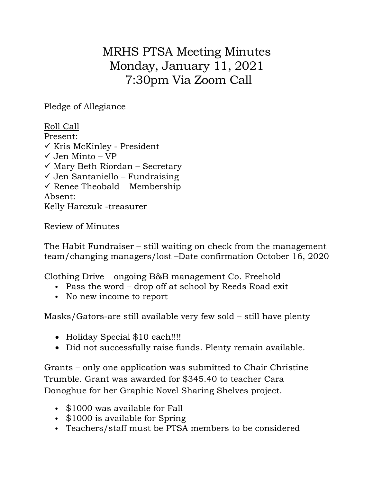MRHS PTSA Meeting Minutes Monday, January 11, 2021 7:30pm Via Zoom Call

Pledge of Allegiance

Roll Call Present:  $\checkmark$  Kris McKinley - President  $\checkmark$  Jen Minto – VP  $\checkmark$  Mary Beth Riordan – Secretary  $\checkmark$  Jen Santaniello – Fundraising  $\checkmark$  Renee Theobald – Membership Absent: Kelly Harczuk -treasurer

Review of Minutes

The Habit Fundraiser – still waiting on check from the management team/changing managers/lost –Date confirmation October 16, 2020

Clothing Drive – ongoing B&B management Co. Freehold

- Pass the word drop off at school by Reeds Road exit
- No new income to report

Masks/Gators-are still available very few sold – still have plenty

- Holiday Special \$10 each!!!!
- Did not successfully raise funds. Plenty remain available.

Grants – only one application was submitted to Chair Christine Trumble. Grant was awarded for \$345.40 to teacher Cara Donoghue for her Graphic Novel Sharing Shelves project.

- \$1000 was available for Fall
- \$1000 is available for Spring
- Teachers/staff must be PTSA members to be considered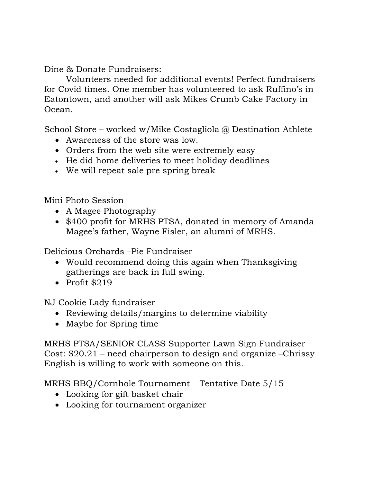Dine & Donate Fundraisers:

Volunteers needed for additional events! Perfect fundraisers for Covid times. One member has volunteered to ask Ruffino's in Eatontown, and another will ask Mikes Crumb Cake Factory in Ocean.

School Store – worked w/Mike Costagliola @ Destination Athlete

- Awareness of the store was low.
- Orders from the web site were extremely easy
- He did home deliveries to meet holiday deadlines
- We will repeat sale pre spring break

Mini Photo Session

- A Magee Photography
- \$400 profit for MRHS PTSA, donated in memory of Amanda Magee's father, Wayne Fisler, an alumni of MRHS.

Delicious Orchards –Pie Fundraiser

- Would recommend doing this again when Thanksgiving gatherings are back in full swing.
- Profit  $$219$

NJ Cookie Lady fundraiser

- Reviewing details/margins to determine viability
- Maybe for Spring time

MRHS PTSA/SENIOR CLASS Supporter Lawn Sign Fundraiser Cost: \$20.21 – need chairperson to design and organize –Chrissy English is willing to work with someone on this.

MRHS BBQ/Cornhole Tournament – Tentative Date 5/15

- Looking for gift basket chair
- Looking for tournament organizer